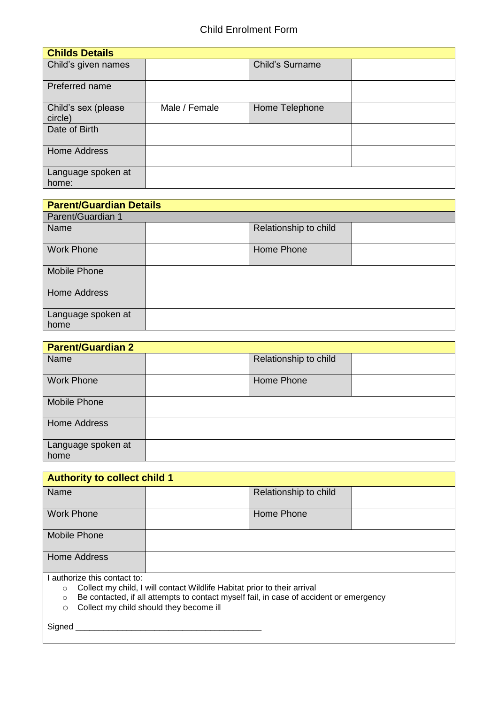| <b>Childs Details</b>          |               |                 |  |
|--------------------------------|---------------|-----------------|--|
| Child's given names            |               | Child's Surname |  |
|                                |               |                 |  |
| Preferred name                 |               |                 |  |
| Child's sex (please<br>circle) | Male / Female | Home Telephone  |  |
| Date of Birth                  |               |                 |  |
| <b>Home Address</b>            |               |                 |  |
| Language spoken at<br>home:    |               |                 |  |

| <b>Parent/Guardian Details</b> |            |                       |  |
|--------------------------------|------------|-----------------------|--|
| Parent/Guardian 1              |            |                       |  |
| Name                           |            | Relationship to child |  |
| <b>Work Phone</b>              | Home Phone |                       |  |
| <b>Mobile Phone</b>            |            |                       |  |
| <b>Home Address</b>            |            |                       |  |
| Language spoken at<br>home     |            |                       |  |

| <b>Parent/Guardian 2</b>   |                       |  |
|----------------------------|-----------------------|--|
| Name                       | Relationship to child |  |
| <b>Work Phone</b>          | Home Phone            |  |
| <b>Mobile Phone</b>        |                       |  |
| <b>Home Address</b>        |                       |  |
| Language spoken at<br>home |                       |  |

| <b>Authority to collect child 1</b> |                                                                          |                                                                                        |  |
|-------------------------------------|--------------------------------------------------------------------------|----------------------------------------------------------------------------------------|--|
| Name                                |                                                                          | Relationship to child                                                                  |  |
| <b>Work Phone</b>                   |                                                                          | Home Phone                                                                             |  |
| Mobile Phone                        |                                                                          |                                                                                        |  |
| <b>Home Address</b>                 |                                                                          |                                                                                        |  |
| authorize this contact to:          |                                                                          |                                                                                        |  |
| $\circ$                             | Collect my child, I will contact Wildlife Habitat prior to their arrival |                                                                                        |  |
| $\circ$                             |                                                                          | Be contacted, if all attempts to contact myself fail, in case of accident or emergency |  |
| $\circ$                             | Collect my child should they become ill                                  |                                                                                        |  |
| Signed                              |                                                                          |                                                                                        |  |